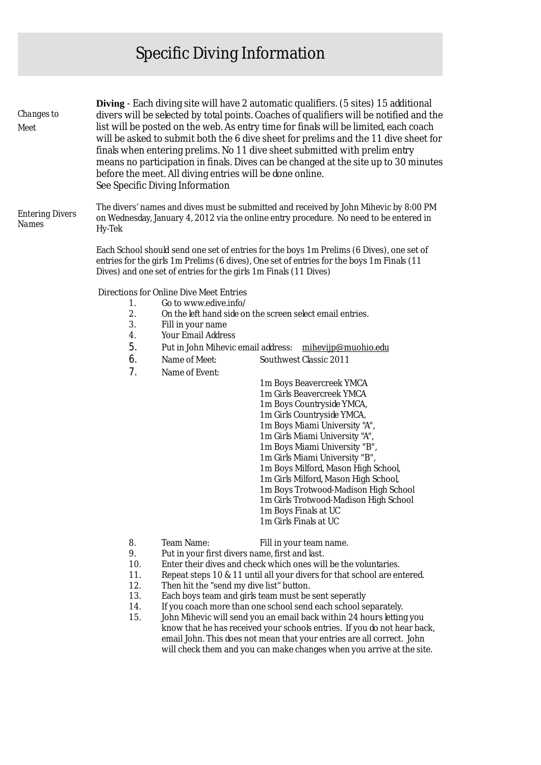## Specific Diving Information

| Changes to<br>Meet              | <b>Diving</b> - Each diving site will have 2 automatic qualifiers. (5 sites) 15 additional<br>divers will be selected by total points. Coaches of qualifiers will be notified and the<br>list will be posted on the web. As entry time for finals will be limited, each coach<br>will be asked to submit both the 6 dive sheet for prelims and the 11 dive sheet for<br>finals when entering prelims. No 11 dive sheet submitted with prelim entry<br>means no participation in finals. Dives can be changed at the site up to 30 minutes<br>before the meet. All diving entries will be done online.<br>See Specific Diving Information |                                                                                                                                                                                                                                                                                                                                                                                                                                                                                                                                                                                                        |
|---------------------------------|------------------------------------------------------------------------------------------------------------------------------------------------------------------------------------------------------------------------------------------------------------------------------------------------------------------------------------------------------------------------------------------------------------------------------------------------------------------------------------------------------------------------------------------------------------------------------------------------------------------------------------------|--------------------------------------------------------------------------------------------------------------------------------------------------------------------------------------------------------------------------------------------------------------------------------------------------------------------------------------------------------------------------------------------------------------------------------------------------------------------------------------------------------------------------------------------------------------------------------------------------------|
| <b>Entering Divers</b><br>Names | The divers' names and dives must be submitted and received by John Mihevic by 8:00 PM<br>on Wednesday, January 4, 2012 via the online entry procedure. No need to be entered in<br>Hy-Tek                                                                                                                                                                                                                                                                                                                                                                                                                                                |                                                                                                                                                                                                                                                                                                                                                                                                                                                                                                                                                                                                        |
|                                 | Each School should send one set of entries for the boys 1m Prelims (6 Dives), one set of<br>entries for the girls 1m Prelims (6 dives), One set of entries for the boys 1m Finals (11<br>Dives) and one set of entries for the girls 1m Finals (11 Dives)                                                                                                                                                                                                                                                                                                                                                                                |                                                                                                                                                                                                                                                                                                                                                                                                                                                                                                                                                                                                        |
|                                 | Directions for Online Dive Meet Entries<br>Go to www.edive.info/<br>1.<br>2.<br>3.<br>Fill in your name<br>Your Email Address<br>4.<br>5.<br>Put in John Mihevic email address:<br>6.<br>Name of Meet:<br>7.<br>Name of Event:                                                                                                                                                                                                                                                                                                                                                                                                           | On the left hand side on the screen select email entries.<br>mihevijp@muohio.edu<br>Southwest Classic 2011<br>1m Boys Beavercreek YMCA<br>1m Girls Beavercreek YMCA<br>1m Boys Countryside YMCA,<br>1m Girls Countryside YMCA,<br>1m Boys Miami University "A",<br>1m Girls Miami University "A",<br>1m Boys Miami University "B"<br>1m Girls Miami University "B",<br>1m Boys Milford, Mason High School,<br>1m Girls Milford, Mason High School,<br>1m Boys Trotwood-Madison High School<br>1m Girls Trotwood-Madison High School<br>1m Boys Finals at UC<br>1m Girls Finals at UC                   |
|                                 | 8.<br>Team Name:<br>9.<br>Put in your first divers name, first and last.<br>10.<br>11.<br>12.<br>Then hit the "send my dive list" button.<br>13.<br>14.<br>15.                                                                                                                                                                                                                                                                                                                                                                                                                                                                           | Fill in your team name.<br>Enter their dives and check which ones will be the voluntaries.<br>Repeat steps 10 & 11 until all your divers for that school are entered.<br>Each boys team and girls team must be sent seperatly<br>If you coach more than one school send each school separately.<br>John Mihevic will send you an email back within 24 hours letting you<br>know that he has received your schools entries. If you do not hear back,<br>email John. This does not mean that your entries are all correct. John<br>will check them and you can make changes when you arrive at the site. |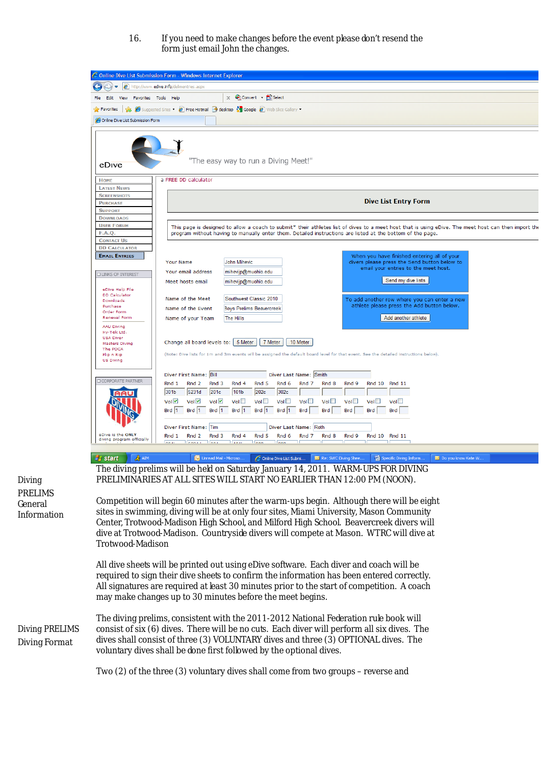16. If you need to make changes before the event please don't resend the form just email John the changes.



*Diving* PRELIMS General Information